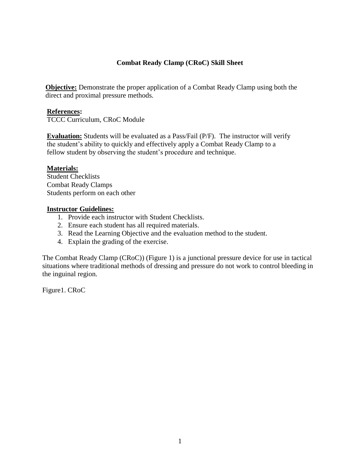### **Combat Ready Clamp (CRoC) Skill Sheet**

**Objective:** Demonstrate the proper application of a Combat Ready Clamp using both the direct and proximal pressure methods.

### **References:**

TCCC Curriculum, CRoC Module

**Evaluation:** Students will be evaluated as a Pass/Fail (P/F). The instructor will verify the student's ability to quickly and effectively apply a Combat Ready Clamp to a fellow student by observing the student's procedure and technique.

#### **Materials:**

Student Checklists Combat Ready Clamps Students perform on each other

#### **Instructor Guidelines:**

- 1. Provide each instructor with Student Checklists.
- 2. Ensure each student has all required materials.
- 3. Read the Learning Objective and the evaluation method to the student.
- 4. Explain the grading of the exercise.

The Combat Ready Clamp (CRoC)) (Figure 1) is a junctional pressure device for use in tactical situations where traditional methods of dressing and pressure do not work to control bleeding in the inguinal region.

Figure1. CRoC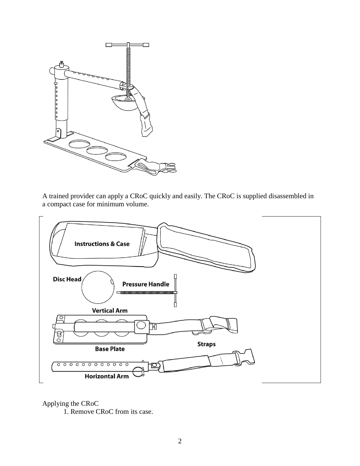

A trained provider can apply a CRoC quickly and easily. The CRoC is supplied disassembled in a compact case for minimum volume.



Applying the CRoC

1. Remove CRoC from its case.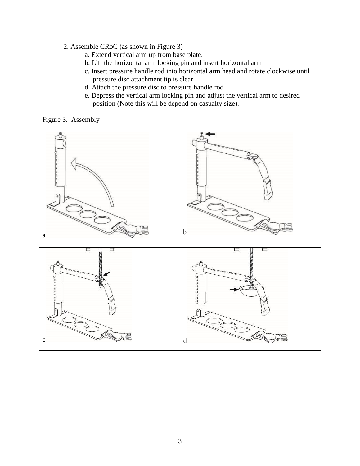- 2. Assemble CRoC (as shown in Figure 3)
	- a. Extend vertical arm up from base plate.
	- b. Lift the horizontal arm locking pin and insert horizontal arm
	- c. Insert pressure handle rod into horizontal arm head and rotate clockwise until pressure disc attachment tip is clear.
	- d. Attach the pressure disc to pressure handle rod
	- e. Depress the vertical arm locking pin and adjust the vertical arm to desired position (Note this will be depend on casualty size).



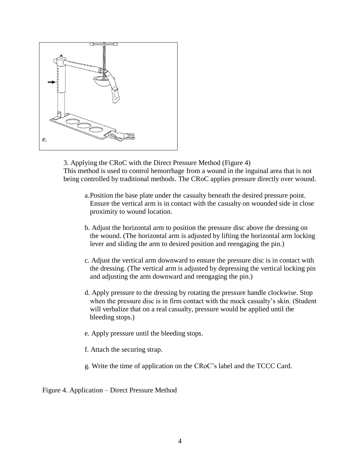

3. Applying the CRoC with the Direct Pressure Method (Figure 4) This method is used to control hemorrhage from a wound in the inguinal area that is not being controlled by traditional methods. The CRoC applies pressure directly over wound.

- a.Position the base plate under the casualty beneath the desired pressure point. Ensure the vertical arm is in contact with the casualty on wounded side in close proximity to wound location.
- b. Adjust the horizontal arm to position the pressure disc above the dressing on the wound. (The horizontal arm is adjusted by lifting the horizontal arm locking lever and sliding the arm to desired position and reengaging the pin.)
- c. Adjust the vertical arm downward to ensure the pressure disc is in contact with the dressing. (The vertical arm is adjusted by depressing the vertical locking pin and adjusting the arm downward and reengaging the pin.)
- d. Apply pressure to the dressing by rotating the pressure handle clockwise. Stop when the pressure disc is in firm contact with the mock casualty's skin. (Student will verbalize that on a real casualty, pressure would be applied until the bleeding stops.)
- e. Apply pressure until the bleeding stops.
- f. Attach the securing strap.
- g. Write the time of application on the CRoC's label and the TCCC Card.

Figure 4. Application – Direct Pressure Method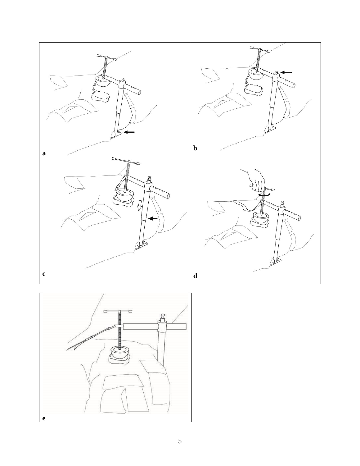

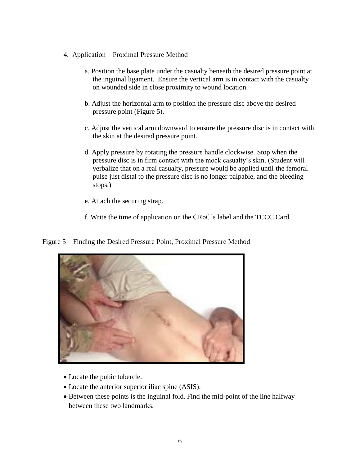- 4. Application Proximal Pressure Method
	- a. Position the base plate under the casualty beneath the desired pressure point at the inguinal ligament. Ensure the vertical arm is in contact with the casualty on wounded side in close proximity to wound location.
	- b. Adjust the horizontal arm to position the pressure disc above the desired pressure point (Figure 5).
	- c. Adjust the vertical arm downward to ensure the pressure disc is in contact with the skin at the desired pressure point.
	- d. Apply pressure by rotating the pressure handle clockwise. Stop when the pressure disc is in firm contact with the mock casualty's skin. (Student will verbalize that on a real casualty, pressure would be applied until the femoral pulse just distal to the pressure disc is no longer palpable, and the bleeding stops.)
	- e. Attach the securing strap.
	- f. Write the time of application on the CRoC's label and the TCCC Card.

Figure 5 – Finding the Desired Pressure Point, Proximal Pressure Method



- Locate the pubic tubercle.
- Locate the anterior superior iliac spine (ASIS).
- Between these points is the inguinal fold. Find the mid-point of the line halfway between these two landmarks.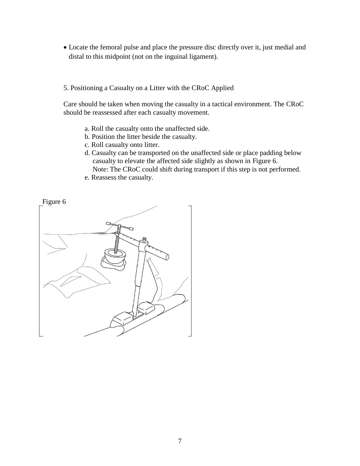- Locate the femoral pulse and place the pressure disc directly over it, just medial and distal to this midpoint (not on the inguinal ligament).
- 5. Positioning a Casualty on a Litter with the CRoC Applied

Care should be taken when moving the casualty in a tactical environment. The CRoC should be reassessed after each casualty movement.

- a. Roll the casualty onto the unaffected side.
- b. Position the litter beside the casualty.
- c. Roll casualty onto litter.
- d. Casualty can be transported on the unaffected side or place padding below casualty to elevate the affected side slightly as shown in Figure 6. Note: The CRoC could shift during transport if this step is not performed.
- e. Reassess the casualty.

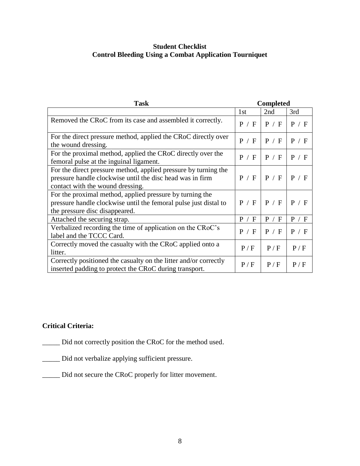# **Student Checklist Control Bleeding Using a Combat Application Tourniquet**

| <b>Task</b>                                                                                                                                                      | <b>Completed</b> |       |       |
|------------------------------------------------------------------------------------------------------------------------------------------------------------------|------------------|-------|-------|
|                                                                                                                                                                  | 1st              | 2nd   | 3rd   |
| Removed the CRoC from its case and assembled it correctly.                                                                                                       | P / F            | P / F | P / F |
| For the direct pressure method, applied the CRoC directly over<br>the wound dressing.                                                                            | P / F            | P / F | P / F |
| For the proximal method, applied the CRoC directly over the<br>femoral pulse at the inguinal ligament.                                                           | P / F            | P / F | P / F |
| For the direct pressure method, applied pressure by turning the<br>pressure handle clockwise until the disc head was in firm<br>contact with the wound dressing. | P / F            | P / F | P / F |
| For the proximal method, applied pressure by turning the<br>pressure handle clockwise until the femoral pulse just distal to<br>the pressure disc disappeared.   | P / F            | P / F | P / F |
| Attached the securing strap.                                                                                                                                     | P / F            | P / F | P / F |
| Verbalized recording the time of application on the CRoC's<br>label and the TCCC Card.                                                                           | P / F            | P / F | P / F |
| Correctly moved the casualty with the CRoC applied onto a<br>litter.                                                                                             | P/F              | P/F   | P/F   |
| Correctly positioned the casualty on the litter and/or correctly<br>inserted padding to protect the CRoC during transport.                                       | P/F              | P/F   | P/F   |

# **Critical Criteria:**

\_\_\_\_\_ Did not correctly position the CRoC for the method used.

- \_\_\_\_\_ Did not verbalize applying sufficient pressure.
- \_\_\_\_\_ Did not secure the CRoC properly for litter movement.